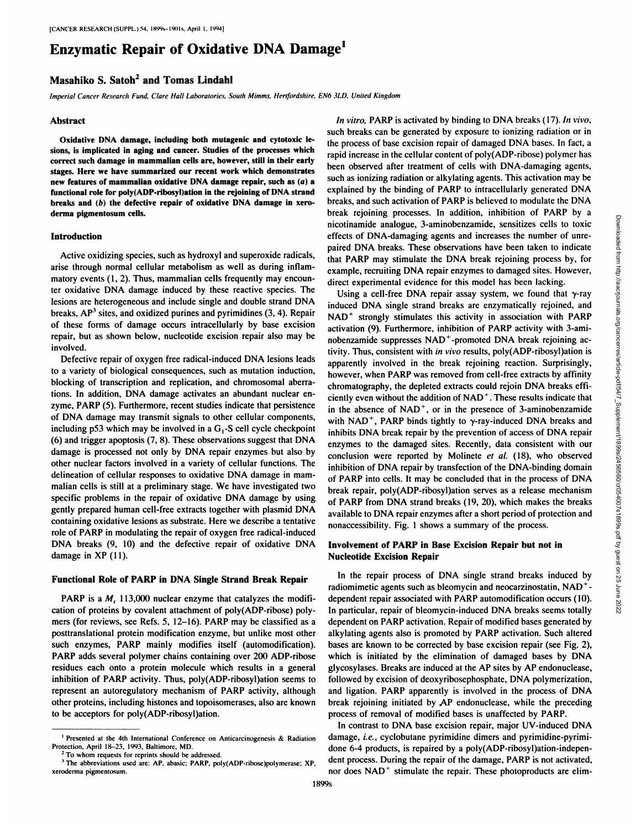# **Enzymatic Repair of Oxidative DNA Damage1**

# **Masahiko S. Satoh2 and Tomas Lindahl**

*Imperia! Cancer Research h'unil. Clare Hall Lalwralorwx, Simili Miinms. liertfiinlahire, EN6 31.D. United Kingdom*

#### Abstract

**Oxidative DNA damage, including both mutamente and cytotoxic le sions, is implicated in aging and cancer. Studies of the processes which correct such damage in mammalian cells are, however, still in their early stages. Here we have summarized our recent work which demonstrates new features of mammalian oxidative UNA damage repair, such as (a) a functional role for polylADP-ribosyllation in the rejoining of UNA strand breaks and (b) the detective repair of oxidative DNA damage in xero derma pigmentosum cells.**

#### **Introduction**

Active oxidizing species, such as hydroxyl and Superoxide radicals, arise through normal cellular metabolism as well as during inflam matory events (1, 2). Thus, mammalian cells frequently may encounter oxidative DNA damage induced by these reactive species. The lesions are heterogeneous and include single and double strand DNA breaks,  $AP<sup>3</sup>$  sites, and oxidized purines and pyrimidines  $(3, 4)$ . Repair of these forms of damage occurs intracellularly by base excision repair, but as shown below, nucleotide excision repair also may be involved.

Defective repair of oxygen free radical-induced DNA lesions leads to a variety of biological consequences, such as mutation induction, blocking of transcription and replication, and chromosomal aberra tions. In addition. DNA damage activates an abundant nuclear en zyme, PARP (5). Furthermore, recent studies indicate that persistence of DNA damage may transmit signals to other cellular components, including p53 which may be involved in a  $G_1$ -S cell cycle checkpoint (6) and trigger apoptosis (7, 8). These observations suggest that DNA damage is processed not only by DNA repair enzymes but also by other nuclear factors involved in a variety of cellular functions. The delineation of cellular responses to oxidative DNA damage in mam malian cells is still at a preliminary stage. We have investigated two specific problems in the repair of oxidative DNA damage by using gently prepared human cell-free extracts together with plasmid DNA containing oxidative lesions as substrate. Here we describe a tentative role of PARP in modulating the repair of oxygen free radical-induced DNA breaks (9, 10) and the defective repair of oxidative DNA damage in XP (II).

#### **Functional Role of PARP in DNA Single Strand Break Repair**

PARP is a  $M_r$ , 113,000 nuclear enzyme that catalyzes the modification of proteins by covalent attachment of poly(ADP-ribose) poly mers (for reviews, see Refs. 5, 12-16). PARP may be classified as a posttranslational protein modification enzyme, but unlike most other such enzymes, PARP mainly modifies itself (automodification). PARP adds several polymer chains containing over 200 ADP-ribose residues each onto a protein molecule which results in a general inhibition of PARP activity. Thus, poly(ADP-ribosyl)ation seems to represent an autoregulatory mechanism of PARP activity, although other proteins, including histones and topoisomerases, also are known to be acceptors for poly(ADP-ribosyl)ation.

*In vitro, PARP is activated by binding to DNA breaks (17). In vivo,* such breaks can be generated by exposure to ionizing radiation or in the process of base excision repair of damaged DNA bases. In fact, a rapid increase in the cellular content of poly(ADP-ribose) polymer has been observed after treatment of cells with DNA-damaging agents, such as ionizing radiation or alkylating agents. This activation may be explained by the binding of PARP to intracellularly generated DNA breaks, and such activation of PARP is believed to modulate the DNA nicotinamide analogue, 3-aminobenzamidc, sensitizes cells to toxic effects of DNA-damaging agents and increases the number of unre paired DNA breaks. These observations have been taken to indicate that PARP may stimulate the DNA break rejoining process by, for example, recruiting DNA repair enzymes to damaged sites. However, direct experimental evidence for this model has been lacking.

break rejoining processes. In addition, inhibition of PARP by a<br>
necestras of DNA-damaging agents and increases the to toxic<br>
effects of DNA-damaging agents and increases the number of unre-<br>
pair effects of DNA breaks. T Using a cell-free DNA repair assay system, we found that  $\gamma$ -ray induced DNA single strand breaks are enzymatically rejoined, and NAD<sup>+</sup> strongly stimulates this activity in association with PARP activation (9). Furthermore, inhibition of PARP activity with 3-aminobenzamide suppresses NAD<sup>+</sup>-promoted DNA break rejoining activity. Thus, consistent with in vivo results, poly(ADP-ribosyl)alion is apparently involved in the break rejoining reaction. Surprisingly, however, when PARP was removed from cell-free extracts by affinity chromatography, the depleted extracts could rejoin DNA breaks effi ciently even without the addition of NAD '. These results indicate that in the absence of  $NAD<sup>+</sup>$ , or in the presence of 3-aminobenzamide with NAD<sup>+</sup>, PARP binds tightly to  $\gamma$ -ray-induced DNA breaks and inhibits DNA break repair by the prevention of access of DNA repair enzymes to the damaged sites. Recently, data consistent with our conclusion were reported by Molinete et al. (18), who observed inhibition of DNA repair by transfection of the DNA-binding domain of PARP into cells. It may be concluded that in the process of DNA break repair, poly(ADP-ribosyl)ation serves as a release mechanism of PARP from DNA strand breaks (19, 20), which makes the breaks available to DNA repair enzymes after a short period of protection and nonaccessibility. Fig. 1 shows a summary of the process.

## **Involvement of PARP in Base Excision Repair but not in Nucleotide Excision Repair**

In the repair process of DNA single strand breaks induced by radiomimetic agents such as bleomycin and neocarzinostatin. NAD \* dependent repair associated with PARP automodification occurs (10). In particular, repair of bleomycin-induced DNA breaks seems totally dependent on PARP activation. Repair of modified bases generated by alkylating agents also is promoted by PARP activation. Such altered bases arc known to be corrected by base excision repair (sec Fig. 2), which is initiated by the elimination of damaged bases by DNA glycosylases. Breaks are induced at the AP sites by AP endonuclease. followed by excision of deoxyribosephosphate. DNA polymerization, and ligation. PARP apparently is involved in the process of DNA break rejoining initiated by AP endonuclease. while the preceding process of removal of modified bases is unaffected by PARP.

In contrast to DNA base excision repair, major UV-induced DNA damage, i.e., cyclobutane pyrimidine dimers and pyrimidine-pyrimidonc 6-4 products, is repaired by a poly(ADP-ribosyl)ation-independent process. During the repair of the damage. PARP is not activated, nor docs NAD ' stimulate the repair. These photoproducts are elim-

<sup>&</sup>lt;sup>1</sup> Presented at the 4th International Conference on Anticarcinogenesis & Radiation Protection, April 18-23, 1993. Baltimore. MD. To whom requests for reprints should be addressed.

<sup>&</sup>lt;sup>3</sup> The abbreviations used are: AP, abasic; PARP, poly(ADP-ribose)polymerase; XP, xeroderma pigmentosum.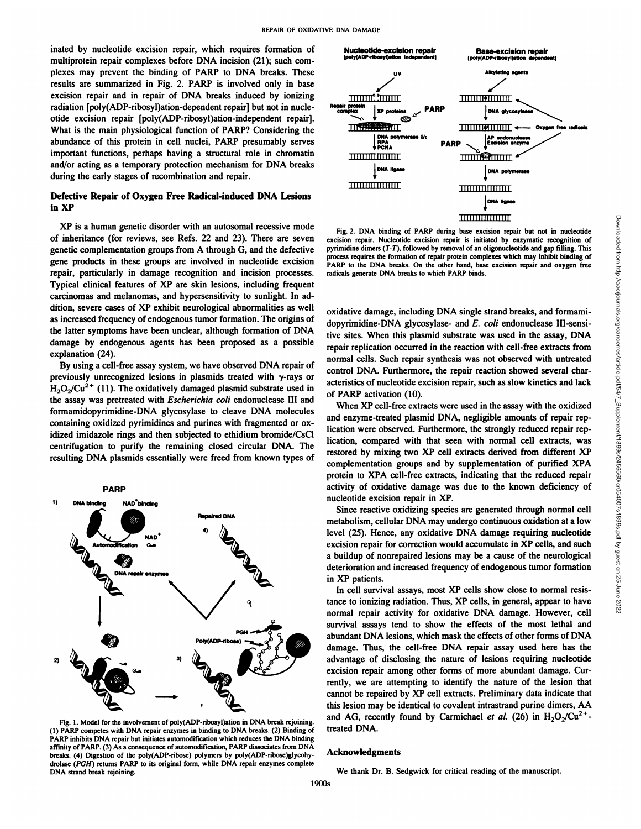inated by nucleotide excision repair, which requires formation of multiprotein repair complexes before DNA incision (21); such com plexes may prevent the binding of PARP to DNA breaks.These results are summarized in Fig. 2. PARP is involved only in base excision repair and in repair of DNA breaks induced by ionizing radiation [poly(ADP-ribosyl)ation-dependent repair] but not in nucle otide excision repair [poly(ADP-ribosyl)ation-independent repair]. What is the main physiological function of PARP? Considering the abundance of this protein in cell nuclei, PARP presumably serves important functions, perhaps having a structural role in chromatin and/or acting as a temporary protection mechanism for DNA breaks during the early stages of recombination and repair.

# **Defective Repair of Oxygen Free Radical-induced DNA Lesions in XP**

XP is a human genetic disorder with an autosomal recessive mode of inheritance (for reviews, see Refs. 22 and 23). There are seven genetic complementation groups from A through G, and the defective gene products in these groups are involved in nucleotide excision repair, particularly in damage recognition and incision processes. Typical clinical features of XP are skin lesions, including frequent carcinomas and melanomas, and hypersensitivity to sunlight. In ad dition, severe cases of XP exhibit neurological abnormalities as well as increased frequency of endogenous tumor formation. The origins of the latter symptoms have been unclear, although formation of DNA damage by endogenous agents has been proposed as a possible explanation (24).

By using a cell-free assay system, we have observed DNA repair of previously unrecognized lesions in plasmids treated with  $\gamma$ -rays or  $H_2O_2/Cu^{2+}$  (11). The oxidatively damaged plasmid substrate used in the assay was pretreated with Escherichia coli endonuclease III and formamidopyrimidine-DNA glycosylase to cleave DNA molecules containing oxidized pyrimidines and purines with fragmented or ox idized imidazole rings and then subjected to ethidium bromide/CsCl centrifugation to purify the remaining closed circular DNA. The resulting DNA plasmids essentially were freed from known types of



Fig. 1. Model for the involvement of poly(ADP-ribosyl)ation in DNA break rejoining. (1) PARP competes with DNA repair enzymes in binding to DNA breaks. (2) Binding of PARP inhibits DNA repair but initiates automodification which reduces the DNA binding affinity of PARP. (3) As a consequence of automodification. PARP dissociates from DNA breaks. (4) Digestion of the poly(ADP-ribose) polymers by poly(ADP-ribose)glycohydrolase (PGH) returns PARP to its original form, while DNA repair enzymes complete DNA strand break rejoining.



Fig. 2. DNA binding of PARP during base excision repair but not in nucleotide excision repair. Nucleotide excision repair is initiated by enzymatic recognition of pyrimidine dimers  $(T-T)$ , followed by removal of an oligonucleotide and gap filling. This process requires the formation of repair protein complexes which may inhibit binding of PARP to the DNA breaks. On the other hand, base excision repair and oxygen free radicals generate DNA breaks to which PARP binds.

oxidative damage, including DNA single strand breaks, and formami dopyrimidine-DNA glycosylase- and  $E$ . coli endonuclease III-sensirepair replication occurred in the reaction with cell-free extracts from normal cells. Such repair synthesis was not observed with untreated control DNA. Furthermore, the repair reaction showed several char acteristics of nucleotide excision repair, such as slow kinetics and lack of PARP activation (10).

The 2. DNA binding of PARP during the excition repair but not in nucleoide<br>
primidine dimest Neuleoide excition repair is initialed by encounted recognition of<br>
primidine dimest CF.7), followed by removal of an oligonucleo When XP cell-free extracts were used in the assay with the oxidized and enzyme-treated plasmid DNA, negligible amounts of repair rep lication were observed. Furthermore, the strongly reduced repair rep lication, compared with that seen with normal cell extracts, was restored by mixing two XP cell extracts derived from different XP complementation groups and by supplementation of purified XPA protein to XPA cell-free extracts, indicating that the reduced repair activity of oxidative damage was due to the known deficiency of nucleotide excision repair in XP.

Since reactive oxidizing species are generated through normal cell metabolism, cellular DNA may undergo continuous oxidation at a low level (25). Hence, any oxidative DNA damage requiring nucleotide excision repair for correction would accumulate in XP cells, and such a buildup of nonrepaired lesions may be a cause of the neurological deterioration and increased frequency of endogenous tumor formation in XP patients.

In cell survival assays, most XP cells show close to normal resis tance to ionizing radiation. Thus, XP cells, in general, appear to have normal repair activity for oxidative DNA damage. However, cell survival assays tend to show the effects of the most lethal and abundant DNA lesions, which mask the effects of other forms of DNA damage. Thus, the cell-free DNA repair assay used here has the advantage of disclosing the nature of lesions requiring nucleotide excision repair among other forms of more abundant damage. Cur rently, we are attempting to identify the nature of the lesion that cannot be repaired by XP cell extracts. Preliminary data indicate that this lesion may be identical to covalent intrastrand purine dimers, AA and AG, recently found by Carmichael et al. (26) in  $H_2O_2$ /Cu<sup>2+</sup>treated DNA.

### **Acknowledgments**

We thank Dr. B. Sedgwick for critical reading of the manuscript.